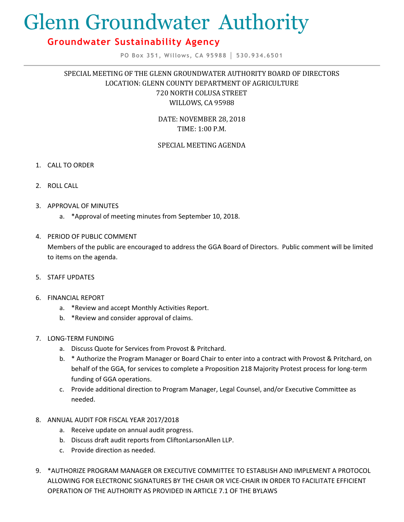# Glenn Groundwater Authority

# **Groundwater Sustainability Agency**

**PO Box 351, Willows, CA 95988 │ 530.934.6501**

# SPECIAL MEETING OF THE GLENN GROUNDWATER AUTHORITY BOARD OF DIRECTORS LOCATION: GLENN COUNTY DEPARTMENT OF AGRICULTURE 720 NORTH COLUSA STREET WILLOWS, CA 95988

DATE: NOVEMBER 28, 2018 TIME: 1:00 P.M.

### SPECIAL MEETING AGENDA

- 1. CALL TO ORDER
- 2. ROLL CALL
- 3. APPROVAL OF MINUTES
	- a. \*Approval of meeting minutes from September 10, 2018.

## 4. PERIOD OF PUBLIC COMMENT

Members of the public are encouraged to address the GGA Board of Directors. Public comment will be limited to items on the agenda.

5. STAFF UPDATES

#### 6. FINANCIAL REPORT

- a. \*Review and accept Monthly Activities Report.
- b. \*Review and consider approval of claims.

#### 7. LONG-TERM FUNDING

- a. Discuss Quote for Services from Provost & Pritchard.
- b. \* Authorize the Program Manager or Board Chair to enter into a contract with Provost & Pritchard, on behalf of the GGA, for services to complete a Proposition 218 Majority Protest process for long-term funding of GGA operations.
- c. Provide additional direction to Program Manager, Legal Counsel, and/or Executive Committee as needed.
- 8. ANNUAL AUDIT FOR FISCAL YEAR 2017/2018
	- a. Receive update on annual audit progress.
	- b. Discuss draft audit reports from CliftonLarsonAllen LLP.
	- c. Provide direction as needed.
- 9. \*AUTHORIZE PROGRAM MANAGER OR EXECUTIVE COMMITTEE TO ESTABLISH AND IMPLEMENT A PROTOCOL ALLOWING FOR ELECTRONIC SIGNATURES BY THE CHAIR OR VICE-CHAIR IN ORDER TO FACILITATE EFFICIENT OPERATION OF THE AUTHORITY AS PROVIDED IN ARTICLE 7.1 OF THE BYLAWS